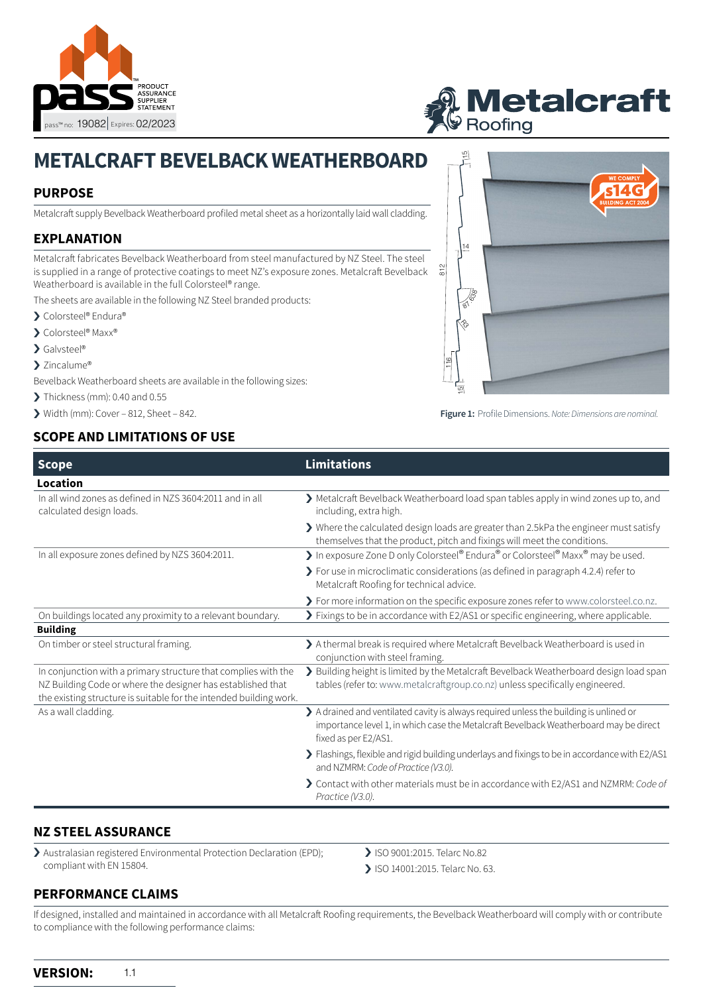

# **Metalcraft**<br>G Roofing

812

# **METALCRAFT BEVELBACK WEATHERBOARD**

## **PURPOSE**

Metalcraft supply Bevelback Weatherboard profiled metal sheet as a horizontally laid wall cladding.

# **EXPLANATION**

Metalcraft fabricates Bevelback Weatherboard from steel manufactured by NZ Steel. The steel is supplied in a range of protective coatings to meet NZ's exposure zones. Metalcraft Bevelback Weatherboard is available in the full Colorsteel® range.

The sheets are available in the following NZ Steel branded products:

- > Colorsteel® Endura®
- > Colorsteel® Maxx®
- › Galvsteel®
- > Zincalume®

Bevelback Weatherboard sheets are available in the following sizes:

 $\blacktriangleright$  Thickness (mm): 0.40 and 0.55

 $\triangleright$  Width (mm): Cover – 812, Sheet – 842.

### **SCOPE AND LIMITATIONS OF USE**



**Figure 1:** Profile Dimensions. *Note: Dimensions are nominal.*

| <b>Scope</b>                                                                                                                                                                                        | <b>Limitations</b>                                                                                                                                                                                      |
|-----------------------------------------------------------------------------------------------------------------------------------------------------------------------------------------------------|---------------------------------------------------------------------------------------------------------------------------------------------------------------------------------------------------------|
| Location                                                                                                                                                                                            |                                                                                                                                                                                                         |
| In all wind zones as defined in NZS 3604:2011 and in all<br>calculated design loads.                                                                                                                | > Metalcraft Bevelback Weatherboard load span tables apply in wind zones up to, and<br>including, extra high.                                                                                           |
|                                                                                                                                                                                                     | > Where the calculated design loads are greater than 2.5kPa the engineer must satisfy<br>themselves that the product, pitch and fixings will meet the conditions.                                       |
| In all exposure zones defined by NZS 3604:2011.                                                                                                                                                     | In exposure Zone D only Colorsteel® Endura® or Colorsteel® Maxx® may be used.                                                                                                                           |
|                                                                                                                                                                                                     | > For use in microclimatic considerations (as defined in paragraph 4.2.4) refer to<br>Metalcraft Roofing for technical advice.                                                                          |
|                                                                                                                                                                                                     | > For more information on the specific exposure zones refer to www.colorsteel.co.nz.                                                                                                                    |
| On buildings located any proximity to a relevant boundary.                                                                                                                                          | > Fixings to be in accordance with E2/AS1 or specific engineering, where applicable.                                                                                                                    |
| <b>Building</b>                                                                                                                                                                                     |                                                                                                                                                                                                         |
| On timber or steel structural framing.                                                                                                                                                              | > A thermal break is required where Metalcraft Bevelback Weatherboard is used in<br>conjunction with steel framing.                                                                                     |
| In conjunction with a primary structure that complies with the<br>NZ Building Code or where the designer has established that<br>the existing structure is suitable for the intended building work. | > Building height is limited by the Metalcraft Bevelback Weatherboard design load span<br>tables (refer to: www.metalcraftgroup.co.nz) unless specifically engineered.                                  |
| As a wall cladding.                                                                                                                                                                                 | > A drained and ventilated cavity is always required unless the building is unlined or<br>importance level 1, in which case the Metalcraft Bevelback Weatherboard may be direct<br>fixed as per E2/AS1. |
|                                                                                                                                                                                                     | > Flashings, flexible and rigid building underlays and fixings to be in accordance with E2/AS1<br>and NZMRM: Code of Practice (V3.0).                                                                   |
|                                                                                                                                                                                                     | > Contact with other materials must be in accordance with E2/AS1 and NZMRM: Code of<br>Practice (V3.0).                                                                                                 |

#### **NZ STEEL ASSURANCE**

› Australasian registered Environmental Protection Declaration (EPD); compliant with EN 15804.

> ISO 9001:2015. Telarc No.82

> ISO 14001:2015. Telarc No. 63.

#### **PERFORMANCE CLAIMS**

If designed, installed and maintained in accordance with all Metalcraft Roofing requirements, the Bevelback Weatherboard will comply with or contribute to compliance with the following performance claims: